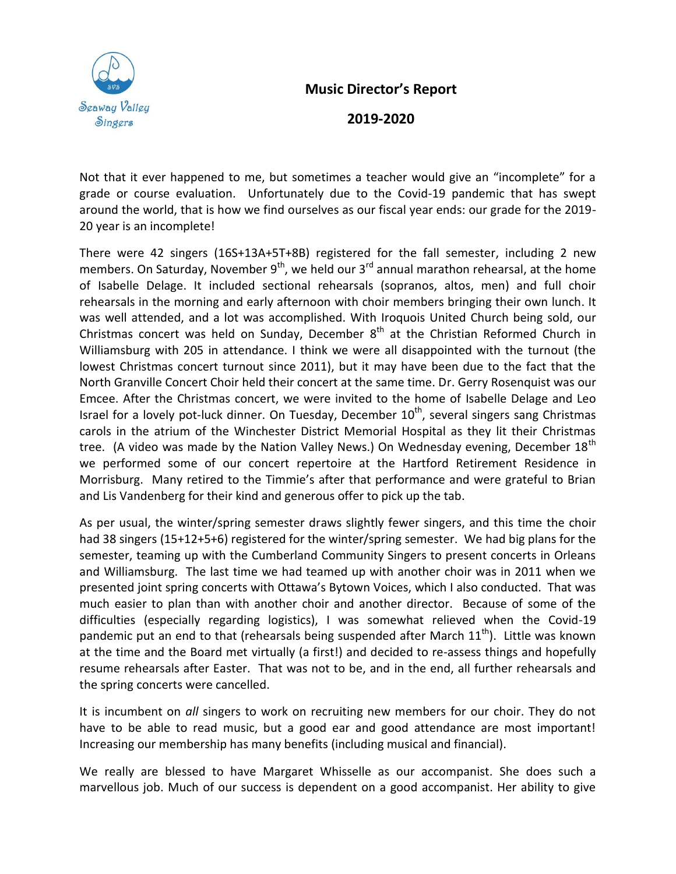

## **Music Director's Report**

## **2019-2020**

Not that it ever happened to me, but sometimes a teacher would give an "incomplete" for a grade or course evaluation. Unfortunately due to the Covid-19 pandemic that has swept around the world, that is how we find ourselves as our fiscal year ends: our grade for the 2019- 20 year is an incomplete!

There were 42 singers (16S+13A+5T+8B) registered for the fall semester, including 2 new members. On Saturday, November 9<sup>th</sup>, we held our 3<sup>rd</sup> annual marathon rehearsal, at the home of Isabelle Delage. It included sectional rehearsals (sopranos, altos, men) and full choir rehearsals in the morning and early afternoon with choir members bringing their own lunch. It was well attended, and a lot was accomplished. With Iroquois United Church being sold, our Christmas concert was held on Sunday, December  $8^{th}$  at the Christian Reformed Church in Williamsburg with 205 in attendance. I think we were all disappointed with the turnout (the lowest Christmas concert turnout since 2011), but it may have been due to the fact that the North Granville Concert Choir held their concert at the same time. Dr. Gerry Rosenquist was our Emcee. After the Christmas concert, we were invited to the home of Isabelle Delage and Leo Israel for a lovely pot-luck dinner. On Tuesday, December 10<sup>th</sup>, several singers sang Christmas carols in the atrium of the Winchester District Memorial Hospital as they lit their Christmas tree. (A video was made by the Nation Valley News.) On Wednesday evening, December 18<sup>th</sup> we performed some of our concert repertoire at the Hartford Retirement Residence in Morrisburg. Many retired to the Timmie's after that performance and were grateful to Brian and Lis Vandenberg for their kind and generous offer to pick up the tab.

As per usual, the winter/spring semester draws slightly fewer singers, and this time the choir had 38 singers (15+12+5+6) registered for the winter/spring semester. We had big plans for the semester, teaming up with the Cumberland Community Singers to present concerts in Orleans and Williamsburg. The last time we had teamed up with another choir was in 2011 when we presented joint spring concerts with Ottawa's Bytown Voices, which I also conducted. That was much easier to plan than with another choir and another director. Because of some of the difficulties (especially regarding logistics), I was somewhat relieved when the Covid-19 pandemic put an end to that (rehearsals being suspended after March  $11<sup>th</sup>$ ). Little was known at the time and the Board met virtually (a first!) and decided to re-assess things and hopefully resume rehearsals after Easter. That was not to be, and in the end, all further rehearsals and the spring concerts were cancelled.

It is incumbent on *all* singers to work on recruiting new members for our choir. They do not have to be able to read music, but a good ear and good attendance are most important! Increasing our membership has many benefits (including musical and financial).

We really are blessed to have Margaret Whisselle as our accompanist. She does such a marvellous job. Much of our success is dependent on a good accompanist. Her ability to give